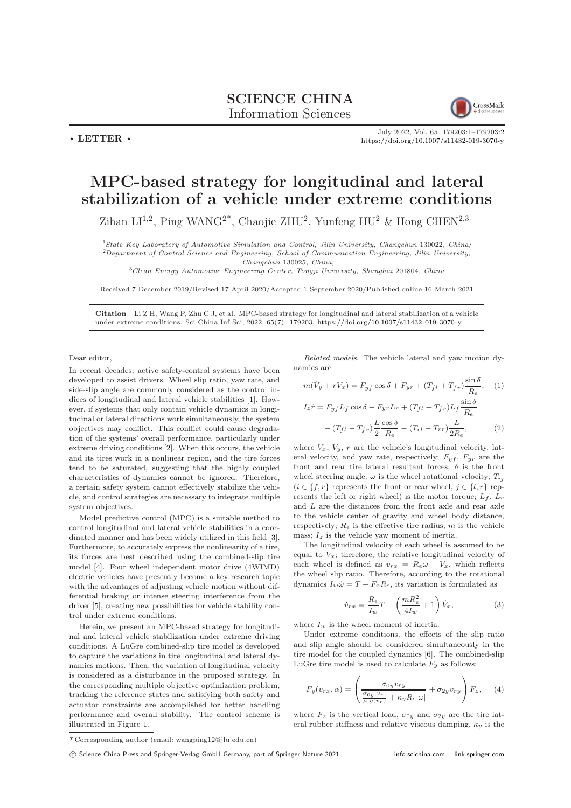## SCIENCE CHINA Information Sciences



July 2022, Vol. 65 179203:1–179203[:2](#page-1-0) <https://doi.org/10.1007/s11432-019-3070-y>

## $\cdot$  LETTER  $\cdot$

## MPC-based strategy for longitudinal and lateral stabilization of a vehicle under extreme conditions

Zihan LI<sup>1,2</sup>, Ping WANG<sup>2\*</sup>, Chaojie ZHU<sup>2</sup>, Yunfeng HU<sup>2</sup> & Hong CHEN<sup>2,3</sup>

<sup>1</sup>State Key Laboratory of Automotive Simulation and Control, Jilin University, Changchun 130022, China;  $2$ Department of Control Science and Engineering, School of Communication Engineering, Jilin University, Changchun 130025, China;

<sup>3</sup>Clean Energy Automotive Engineering Center, Tongji University, Shanghai 201804, China

Received 7 December 2019/Revised 17 April 2020/Accepted 1 September 2020/Published online 16 March 2021

Citation Li Z H, Wang P, Zhu C J, et al. MPC-based strategy for longitudinal and lateral stabilization of a vehicle under extreme conditions. Sci China Inf Sci, 2022, 65(7): 179203, <https://doi.org/10.1007/s11432-019-3070-y>

Dear editor,

In recent decades, active safety-control systems have been developed to assist drivers. Wheel slip ratio, yaw rate, and side-slip angle are commonly considered as the control indices of longitudinal and lateral vehicle stabilities [\[1\]](#page-1-1). However, if systems that only contain vehicle dynamics in longitudinal or lateral directions work simultaneously, the system objectives may conflict. This conflict could cause degradation of the systems' overall performance, particularly under extreme driving conditions [\[2\]](#page-1-2). When this occurs, the vehicle and its tires work in a nonlinear region, and the tire forces tend to be saturated, suggesting that the highly coupled characteristics of dynamics cannot be ignored. Therefore, a certain safety system cannot effectively stabilize the vehicle, and control strategies are necessary to integrate multiple system objectives.

Model predictive control (MPC) is a suitable method to control longitudinal and lateral vehicle stabilities in a coordinated manner and has been widely utilized in this field [\[3\]](#page-1-3). Furthermore, to accurately express the nonlinearity of a tire, its forces are best described using the combined-slip tire model [\[4\]](#page-1-4). Four wheel independent motor drive (4WIMD) electric vehicles have presently become a key research topic with the advantages of adjusting vehicle motion without differential braking or intense steering interference from the driver [\[5\]](#page-1-5), creating new possibilities for vehicle stability control under extreme conditions.

Herein, we present an MPC-based strategy for longitudinal and lateral vehicle stabilization under extreme driving conditions. A LuGre combined-slip tire model is developed to capture the variations in tire longitudinal and lateral dynamics motions. Then, the variation of longitudinal velocity is considered as a disturbance in the proposed strategy. In the corresponding multiple objective optimization problem, tracking the reference states and satisfying both safety and actuator constraints are accomplished for better handling performance and overall stability. The control scheme is illustrated in Figure [1.](#page-1-6)

Related models. The vehicle lateral and yaw motion dynamics are

<span id="page-0-0"></span>
$$
m(\dot{V}_y + rV_x) = F_{yf} \cos \delta + F_{yr} + (T_{fl} + T_{fr}) \frac{\sin \delta}{R_e}, \quad (1)
$$

$$
\sin \delta
$$

$$
I_z \dot{r} = F_{yf} L_f \cos \delta - F_{yr} L_r + (T_{fl} + T_{fr}) L_f \frac{L}{R_e}
$$

$$
- (T_{fl} - T_{fr}) \frac{L}{2} \frac{\cos \delta}{R_e} - (T_{rl} - T_{rr}) \frac{L}{2R_e}, \qquad (2)
$$

where  $V_x$ ,  $V_y$ ,  $r$  are the vehicle's longitudinal velocity, lateral velocity, and yaw rate, respectively;  $F_{yf}$ ,  $F_{yr}$  are the front and rear tire lateral resultant forces;  $\delta$  is the front wheel steering angle;  $\omega$  is the wheel rotational velocity;  $T_{ij}$  $(i \in \{f, r\})$  represents the front or rear wheel,  $j \in \{l, r\}$  represents the left or right wheel) is the motor torque;  $L_f$ ,  $L_r$ and L are the distances from the front axle and rear axle to the vehicle center of gravity and wheel body distance, respectively;  $R_e$  is the effective tire radius; m is the vehicle mass;  $I_z$  is the vehicle yaw moment of inertia.

The longitudinal velocity of each wheel is assumed to be equal to  $V_x$ ; therefore, the relative longitudinal velocity of each wheel is defined as  $v_{rx} = R_e \omega - V_x$ , which reflects the wheel slip ratio. Therefore, according to the rotational dynamics  $I_w \dot{\omega} = T - F_x R_e$ , its variation is formulated as

<span id="page-0-1"></span>
$$
\dot{v}_{rx} = \frac{R_e}{I_w}T - \left(\frac{mR_e^2}{4I_w} + 1\right)\dot{V}_x,\tag{3}
$$

where  $I_w$  is the wheel moment of inertia.

Under extreme conditions, the effects of the slip ratio and slip angle should be considered simultaneously in the tire model for the coupled dynamics [\[6\]](#page-1-7). The combined-slip LuGre tire model is used to calculate  $F_y$  as follows:

$$
F_y(v_{rx}, \alpha) = \left(\frac{\sigma_{0y}v_{ry}}{\frac{\sigma_{0y}|v_r|}{\mu \cdot g(v_r)} + \kappa_y R_e |\omega|} + \sigma_{2y} v_{ry}\right) F_z, \quad (4)
$$

where  $F_z$  is the vertical load,  $\sigma_{0y}$  and  $\sigma_{2y}$  are the tire lateral rubber stiffness and relative viscous damping,  $\kappa_y$  is the

<sup>\*</sup> Corresponding author (email: wangping12@jlu.edu.cn)

c Science China Press and Springer-Verlag GmbH Germany, part of Springer Nature 2021 <info.scichina.com><link.springer.com>